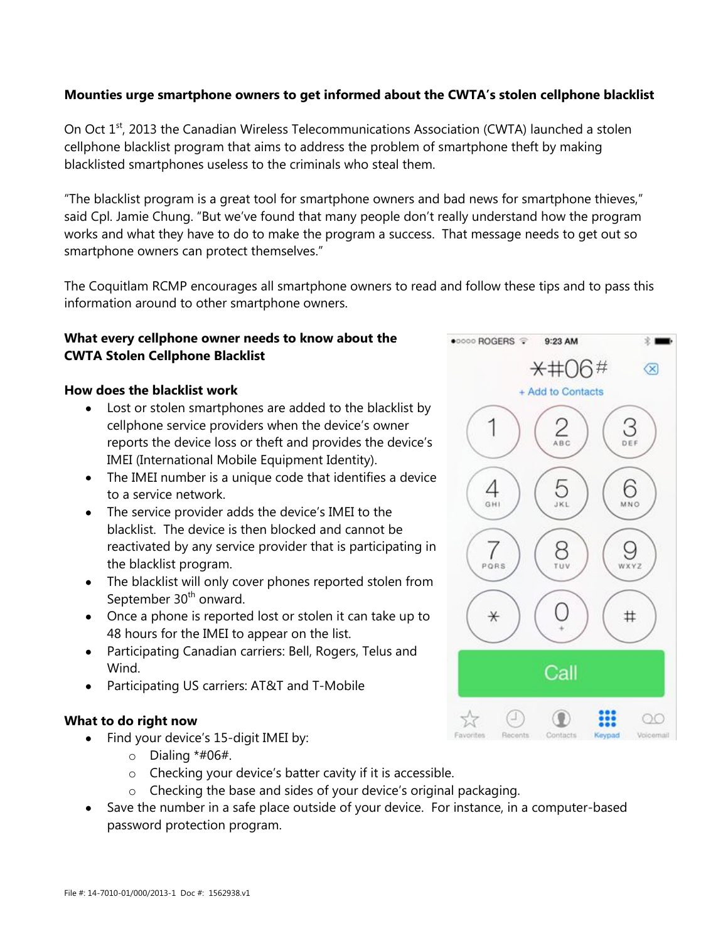# **Mounties urge smartphone owners to get informed about the CWTA's stolen cellphone blacklist**

On Oct 1<sup>st</sup>, 2013 the Canadian Wireless Telecommunications Association (CWTA) launched a stolen cellphone blacklist program that aims to address the problem of smartphone theft by making blacklisted smartphones useless to the criminals who steal them.

"The blacklist program is a great tool for smartphone owners and bad news for smartphone thieves," said Cpl. Jamie Chung. "But we've found that many people don't really understand how the program works and what they have to do to make the program a success. That message needs to get out so smartphone owners can protect themselves."

The Coquitlam RCMP encourages all smartphone owners to read and follow these tips and to pass this information around to other smartphone owners.

# **What every cellphone owner needs to know about the CWTA Stolen Cellphone Blacklist**

#### **How does the blacklist work**

- Lost or stolen smartphones are added to the blacklist by cellphone service providers when the device's owner reports the device loss or theft and provides the device's IMEI (International Mobile Equipment Identity).
- The IMEI number is a unique code that identifies a device to a service network.
- The service provider adds the device's IMEI to the blacklist. The device is then blocked and cannot be reactivated by any service provider that is participating in the blacklist program.
- The blacklist will only cover phones reported stolen from September 30<sup>th</sup> onward.
- Once a phone is reported lost or stolen it can take up to 48 hours for the IMEI to appear on the list.
- Participating Canadian carriers: Bell, Rogers, Telus and Wind.
- Participating US carriers: AT&T and T-Mobile

### **What to do right now**

- Find your device's 15-digit IMEI by:
	- $\circ$  Dialing \*#06#.
	- o Checking your device's batter cavity if it is accessible.
	- o Checking the base and sides of your device's original packaging.
- Save the number in a safe place outside of your device. For instance, in a computer-based password protection program.